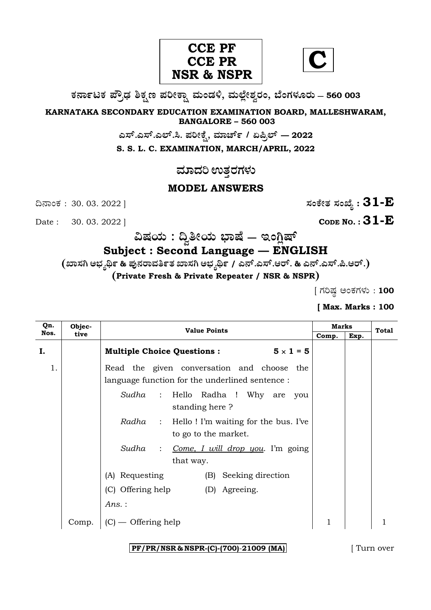



**O⁄´¤%lO⁄ ÆË√v⁄ ÃO⁄–y Æ⁄¬fiO¤– »⁄flMs⁄ÿ, »⁄fl≈Ê«fiÀ⁄ ¡⁄M, ∑ÊMV⁄◊⁄‡¡⁄fl — 560 003** 

**KARNATAKA SECONDARY EDUCATION EXAMINATION BOARD, MALLESHWARAM, BANGALORE – 560 003** 

**G—È.G—È.G≈È.". Æ⁄¬fiOÊ⁄–, »⁄·¤^È% / HØ√≈È — 2022**

**S. S. L. C. EXAMINATION, MARCH/APRIL, 2022** 

<u>ಮಾದರಿ ಉತರಗಳು</u>

# **MODEL ANSWERS**

 $\Delta$ **Date :** 30. 03. 2022 ]

ದಿನಾಂಕ : 30. 03. 2022 ]  $\qquad \qquad$   $\qquad \qquad$   $\qquad$  ಸಂಕೇತ ಸಂಖ್ಯೆ :  $31$ - $\bf E$ 

# **…Œ⁄æ⁄fl : ¶ ~fiæ⁄fl ∫¤ŒÊ — BMW«ŒÈ**

# **Subject : Second Language — ENGLISH**

**(S¤—⁄W @∫⁄¥¿£% & Æ⁄'¥´⁄¡¤»⁄~%}⁄S¤—⁄W @∫⁄¥¿£% / G´È.G—È.A¡È. & G´È.G—È.Ø.A¡È.)** 

**(Private Fresh & Private Repeater / NSR & NSPR)**

 $[$  ಗರಿಷ್ಠ ಅಂಕಗಳು : 100

# **[ Max. Marks : 100**

| Qn.  | Objec- | <b>Value Points</b>                                                         |       | <b>Marks</b> |       |
|------|--------|-----------------------------------------------------------------------------|-------|--------------|-------|
| Nos. | tive   |                                                                             | Comp. | Exp.         | Total |
| Ι.   |        | $5 \times 1 = 5$<br><b>Multiple Choice Questions:</b>                       |       |              |       |
| 1.   |        | Read the given conversation and choose the                                  |       |              |       |
|      |        | language function for the underlined sentence :                             |       |              |       |
|      |        | Hello Radha ! Why are you<br>Sudha<br>$\sim$ 1.<br>standing here?           |       |              |       |
|      |        | <i>Radha</i> : Hello! I'm waiting for the bus. I've<br>to go to the market. |       |              |       |
|      |        | Sudha<br>Come, I will drop you. I'm going<br>$\ddot{\cdot}$<br>that way.    |       |              |       |
|      |        | (A) Requesting<br>Seeking direction<br>(B)                                  |       |              |       |
|      |        | (C) Offering help<br>(D) Agreeing.                                          |       |              |       |
|      |        | Ans.:                                                                       |       |              |       |
|      | Comp.  | – Offering help                                                             |       |              |       |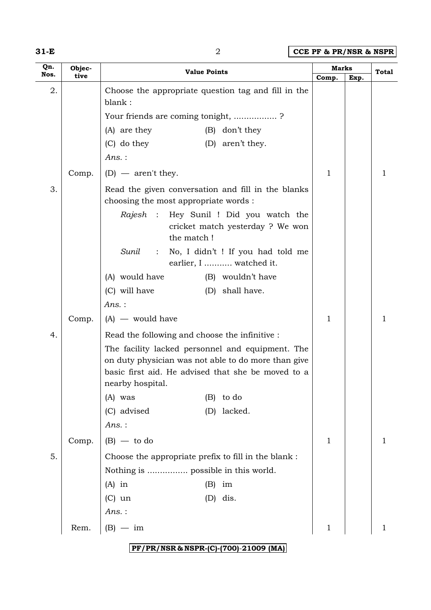| w |  |  |
|---|--|--|
|---|--|--|

**31-E** 2 **CCE PF & PR/NSR & NSPR**

| Qn.  | Objec- | <b>Value Points</b>                                                                                                                                                               | Marks        |      | Total |
|------|--------|-----------------------------------------------------------------------------------------------------------------------------------------------------------------------------------|--------------|------|-------|
| Nos. | tive   |                                                                                                                                                                                   | Comp.        | Exp. |       |
| 2.   |        | Choose the appropriate question tag and fill in the<br>blank:                                                                                                                     |              |      |       |
|      |        | Your friends are coming tonight, ?                                                                                                                                                |              |      |       |
|      |        | (A) are they<br>(B) don't they                                                                                                                                                    |              |      |       |
|      |        | $(C)$ do they<br>(D) aren't they.                                                                                                                                                 |              |      |       |
|      |        | $Ans.$ :                                                                                                                                                                          |              |      |       |
|      | Comp.  | $(D)$ — aren't they.                                                                                                                                                              | $\mathbf{1}$ |      | 1     |
| 3.   |        | Read the given conversation and fill in the blanks<br>choosing the most appropriate words :                                                                                       |              |      |       |
|      |        | Rajesh : Hey Sunil ! Did you watch the<br>cricket match yesterday ? We won<br>the match!                                                                                          |              |      |       |
|      |        | Sunil<br>No, I didn't ! If you had told me<br>$\sim$ 100 $\sim$<br>earlier, I  watched it.                                                                                        |              |      |       |
|      |        | (A) would have<br>(B) wouldn't have                                                                                                                                               |              |      |       |
|      |        | (C) will have<br>(D) shall have.                                                                                                                                                  |              |      |       |
|      |        | Ans.:                                                                                                                                                                             |              |      |       |
|      | Comp.  | $(A)$ — would have                                                                                                                                                                | $\mathbf{1}$ |      | 1     |
| 4.   |        | Read the following and choose the infinitive :                                                                                                                                    |              |      |       |
|      |        | The facility lacked personnel and equipment. The<br>on duty physician was not able to do more than give<br>basic first aid. He advised that she be moved to a<br>nearby hospital. |              |      |       |
|      |        | (A) was<br>to do<br>(B)                                                                                                                                                           |              |      |       |
|      |        | (C) advised<br>lacked.<br>(D)                                                                                                                                                     |              |      |       |
|      |        | $Ans.$ :                                                                                                                                                                          |              |      |       |
|      | Comp.  | $(B)$ — to do                                                                                                                                                                     | $\mathbf{1}$ |      | 1     |
| 5.   |        | Choose the appropriate prefix to fill in the blank :                                                                                                                              |              |      |       |
|      |        | Nothing is  possible in this world.                                                                                                                                               |              |      |       |
|      |        | $(A)$ in<br>(B)<br>im                                                                                                                                                             |              |      |       |
|      |        | dis.<br>$(C)$ un<br>(D)                                                                                                                                                           |              |      |       |
|      |        | $Ans.$ :                                                                                                                                                                          |              |      |       |
|      | Rem.   | $(B) -$<br>– im                                                                                                                                                                   | $\mathbf 1$  |      |       |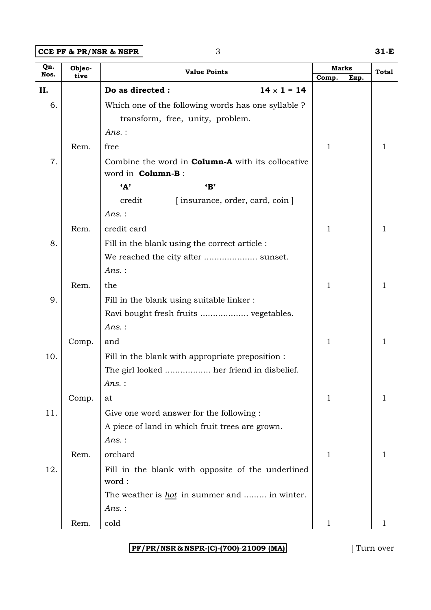### **CCE PF & PR/NSR & NSPR** 3 31-E

| Qn.  | Objec- | <b>Value Points</b>                                      | <b>Marks</b> |      | <b>Total</b> |
|------|--------|----------------------------------------------------------|--------------|------|--------------|
| Nos. | tive   |                                                          | Comp.        | Exp. |              |
| II.  |        | Do as directed :<br>$14 \times 1 = 14$                   |              |      |              |
| 6.   |        | Which one of the following words has one syllable ?      |              |      |              |
|      |        | transform, free, unity, problem.                         |              |      |              |
|      |        | $Ans.$ :                                                 |              |      |              |
|      | Rem.   | free                                                     | 1            |      | L            |
| 7.   |        | Combine the word in <b>Column-A</b> with its collocative |              |      |              |
|      |        | word in Column-B:                                        |              |      |              |
|      |        | A<br>$\mathbf{B}'$                                       |              |      |              |
|      |        | credit<br>[insurance, order, card, coin]                 |              |      |              |
|      |        | $Ans.$ :                                                 |              |      |              |
|      | Rem.   | credit card                                              | 1            |      | ı            |
| 8.   |        | Fill in the blank using the correct article :            |              |      |              |
|      |        | We reached the city after  sunset.                       |              |      |              |
|      |        | $Ans.$ :                                                 |              |      |              |
|      | Rem.   | the                                                      | 1            |      | 1            |
| 9.   |        | Fill in the blank using suitable linker:                 |              |      |              |
|      |        |                                                          |              |      |              |
|      |        | $Ans.$ :                                                 |              |      |              |
|      | Comp.  | and                                                      | 1            |      |              |
| 10.  |        | Fill in the blank with appropriate preposition :         |              |      |              |
|      |        | The girl looked  her friend in disbelief.                |              |      |              |
|      |        | Ans.:                                                    |              |      |              |
|      | Comp.  | at                                                       | 1            |      | 1            |
| 11.  |        | Give one word answer for the following :                 |              |      |              |
|      |        | A piece of land in which fruit trees are grown.          |              |      |              |
|      |        | $Ans.$ :                                                 |              |      |              |
|      | Rem.   | orchard                                                  | 1            |      | 1            |
| 12.  |        | Fill in the blank with opposite of the underlined        |              |      |              |
|      |        | word:                                                    |              |      |              |
|      |        | The weather is <u>hot</u> in summer and  in winter.      |              |      |              |
|      |        | Ans.:                                                    |              |      |              |
|      | Rem.   | cold                                                     | 1            |      | 1            |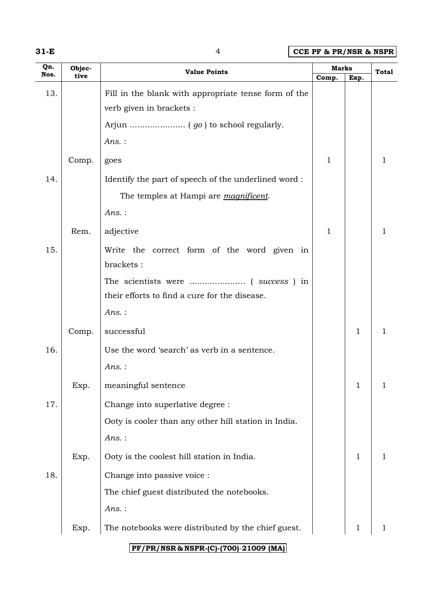| w<br>۰. |  |  |
|---------|--|--|
|---------|--|--|

**31-E** 4 **CCE PF & PR/NSR & NSPR**

| Qn.  | Objec- | <b>Value Points</b>                                  | <b>Marks</b> |              | <b>Total</b> |
|------|--------|------------------------------------------------------|--------------|--------------|--------------|
| Nos. | tive   |                                                      | Comp.        | Exp.         |              |
| 13.  |        | Fill in the blank with appropriate tense form of the |              |              |              |
|      |        | verb given in brackets :                             |              |              |              |
|      |        |                                                      |              |              |              |
|      |        | Ans.:                                                |              |              |              |
|      | Comp.  | goes                                                 | $\mathbf{1}$ |              | 1            |
| 14.  |        | Identify the part of speech of the underlined word:  |              |              |              |
|      |        | The temples at Hampi are <i>magnificent</i> .        |              |              |              |
|      |        | $Ans.$ :                                             |              |              |              |
|      | Rem.   | adjective                                            | 1            |              |              |
| 15.  |        | Write the correct form of the word given in          |              |              |              |
|      |        | brackets:                                            |              |              |              |
|      |        |                                                      |              |              |              |
|      |        | their efforts to find a cure for the disease.        |              |              |              |
|      |        | Ans.:                                                |              |              |              |
|      | Comp.  | successful                                           |              | 1            |              |
| 16.  |        | Use the word 'search' as verb in a sentence.         |              |              |              |
|      |        | $Ans.$ :                                             |              |              |              |
|      | Exp.   | meaningful sentence                                  |              | $\mathbf 1$  | T            |
| 17.  |        | Change into superlative degree :                     |              |              |              |
|      |        | Ooty is cooler than any other hill station in India. |              |              |              |
|      |        | $Ans.$ :                                             |              |              |              |
|      | Exp.   | Ooty is the coolest hill station in India.           |              | $\mathbf{1}$ |              |
| 18.  |        | Change into passive voice :                          |              |              |              |
|      |        | The chief guest distributed the notebooks.           |              |              |              |
|      |        | $Ans.$ :                                             |              |              |              |
|      | Exp.   | The notebooks were distributed by the chief guest.   |              | 1            |              |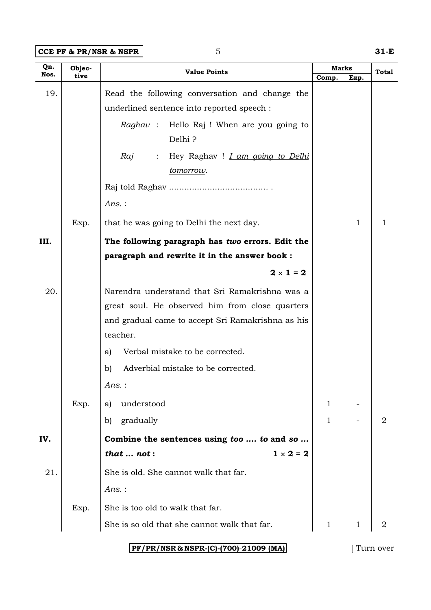**CCE PF & PR/NSR & NSPR** 5 31-E

| Qn.  | Objec- | Marks<br><b>Value Points</b>                                              |              | Total       |                |
|------|--------|---------------------------------------------------------------------------|--------------|-------------|----------------|
| Nos. | tive   |                                                                           | Comp.        | Exp.        |                |
| 19.  |        | Read the following conversation and change the                            |              |             |                |
|      |        | underlined sentence into reported speech :                                |              |             |                |
|      |        | <i>Raghav</i> : Hello Raj ! When are you going to                         |              |             |                |
|      |        | Delhi?                                                                    |              |             |                |
|      |        | Hey Raghav ! <i>I am going to Delhi</i><br>Raj<br>$\mathbb{Z}^{\times}$ . |              |             |                |
|      |        | tomorrow.                                                                 |              |             |                |
|      |        |                                                                           |              |             |                |
|      |        | $Ans.$ :                                                                  |              |             |                |
|      | Exp.   | that he was going to Delhi the next day.                                  |              | 1           | 1              |
| III. |        | The following paragraph has two errors. Edit the                          |              |             |                |
|      |        | paragraph and rewrite it in the answer book :                             |              |             |                |
|      |        | $2 \times 1 = 2$                                                          |              |             |                |
| 20.  |        | Narendra understand that Sri Ramakrishna was a                            |              |             |                |
|      |        | great soul. He observed him from close quarters                           |              |             |                |
|      |        | and gradual came to accept Sri Ramakrishna as his                         |              |             |                |
|      |        | teacher.                                                                  |              |             |                |
|      |        | Verbal mistake to be corrected.<br>a)                                     |              |             |                |
|      |        | Adverbial mistake to be corrected.<br>b)                                  |              |             |                |
|      |        | Ans. :                                                                    |              |             |                |
|      | Exp.   | understood<br>a)                                                          | $\mathbf{1}$ |             |                |
|      |        | $\mathbf{b}$<br>gradually                                                 | $\mathbf{1}$ |             | $\overline{2}$ |
| IV.  |        | Combine the sentences using too  to and so                                |              |             |                |
|      |        | $1 \times 2 = 2$<br>that $\dots$ not:                                     |              |             |                |
| 21.  |        | She is old. She cannot walk that far.                                     |              |             |                |
|      |        | Ans.:                                                                     |              |             |                |
|      | Exp.   | She is too old to walk that far.                                          |              |             |                |
|      |        | She is so old that she cannot walk that far.                              | $\mathbf{1}$ | $\mathbf 1$ | $\overline{2}$ |
|      |        |                                                                           |              |             |                |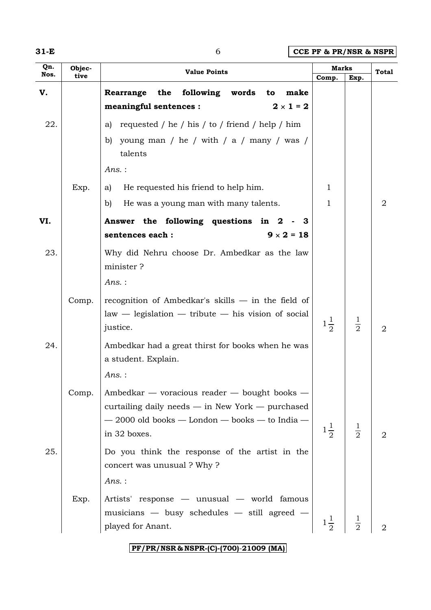| w |  |
|---|--|
|---|--|

**31-E** 6 **CCE PF & PR/NSR & NSPR**

| Qn.<br>Nos. | Objec- | <b>Value Points</b>                                                                             | Marks          |               | Total          |
|-------------|--------|-------------------------------------------------------------------------------------------------|----------------|---------------|----------------|
|             | tive   |                                                                                                 | Comp.          | Exp.          |                |
| V.          |        | Rearrange the<br>following<br>words<br>to<br>make<br>$2 \times 1 = 2$<br>meaningful sentences : |                |               |                |
|             |        |                                                                                                 |                |               |                |
| 22.         |        | requested / he / his / to / friend / help / him<br>a)                                           |                |               |                |
|             |        | young man / he / with / a / many / was /<br>b)<br>talents                                       |                |               |                |
|             |        | $Ans.$ :                                                                                        |                |               |                |
|             | Exp.   | He requested his friend to help him.<br>a)                                                      | 1              |               |                |
|             |        | He was a young man with many talents.<br>b)                                                     | 1              |               | 2              |
| VI.         |        | Answer the following questions in<br>$\boldsymbol{2}$<br>- 3                                    |                |               |                |
|             |        | $9 \times 2 = 18$<br>sentences each :                                                           |                |               |                |
| 23.         |        | Why did Nehru choose Dr. Ambedkar as the law<br>minister?                                       |                |               |                |
|             |        | $Ans.$ :                                                                                        |                |               |                |
|             | Comp.  | recognition of Ambedkar's skills $-$ in the field of                                            |                |               |                |
|             |        | $law - legislation - tribute - his vision of social$                                            |                |               |                |
|             |        | justice.                                                                                        | $1\frac{1}{2}$ | $\frac{1}{2}$ | $\overline{2}$ |
| 24.         |        | Ambedkar had a great thirst for books when he was<br>a student. Explain.                        |                |               |                |
|             |        | Ans.:                                                                                           |                |               |                |
|             | Comp.  | Ambedkar — voracious reader — bought books —                                                    |                |               |                |
|             |        | curtailing daily needs $-$ in New York $-$ purchased                                            |                |               |                |
|             |        | $-2000$ old books $-$ London $-$ books $-$ to India $-$                                         | $1\frac{1}{2}$ | $\frac{1}{2}$ |                |
|             |        | in 32 boxes.                                                                                    |                |               | 2              |
| 25.         |        | Do you think the response of the artist in the                                                  |                |               |                |
|             |        | concert was unusual? Why?<br>Ans.:                                                              |                |               |                |
|             |        |                                                                                                 |                |               |                |
|             | Exp.   | Artists' response — unusual — world famous<br>musicians - busy schedules - still agreed -       |                |               |                |
|             |        | played for Anant.                                                                               | $1\frac{1}{2}$ |               | 2              |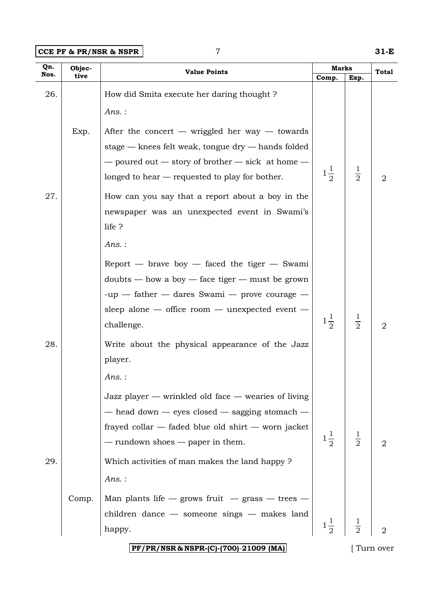**CCE PF & PR/NSR & NSPR** 7 **31-E**

| Qn.  | Objec- | <b>Marks</b><br><b>Value Points</b>                                                                                                                                                                                                                                                                                                                    |                | <b>Total</b>  |           |
|------|--------|--------------------------------------------------------------------------------------------------------------------------------------------------------------------------------------------------------------------------------------------------------------------------------------------------------------------------------------------------------|----------------|---------------|-----------|
| Nos. | tive   |                                                                                                                                                                                                                                                                                                                                                        | Comp.          | Exp.          |           |
| 26.  |        | How did Smita execute her daring thought?<br>Ans.:                                                                                                                                                                                                                                                                                                     |                |               |           |
| 27.  | Exp.   | After the concert — wriggled her way — towards<br>stage $-$ knees felt weak, tongue $\text{dry}$ $-$ hands folded<br>$-$ poured out $-$ story of brother $-$ sick at home $-$<br>longed to hear — requested to play for bother.<br>How can you say that a report about a boy in the<br>newspaper was an unexpected event in Swami's<br>life ?<br>Ans.: | $1\frac{1}{2}$ | $\frac{1}{2}$ | 2         |
| 28.  |        | Report $-$ brave boy $-$ faced the tiger $-$ Swami<br>$doubts - how a boy - face tiger - must be grown$<br>$-up$ - father - dares Swami - prove courage -<br>sleep alone $-$ office room $-$ unexpected event $-$<br>challenge.<br>Write about the physical appearance of the Jazz<br>player.<br>Ans.:                                                 | $1\frac{1}{2}$ | $\frac{1}{2}$ | 2         |
| 29.  |        | Jazz player $-$ wrinkled old face $-$ wearies of living<br>- head down - eyes closed - sagging stomach -<br>frayed collar — faded blue old shirt — worn jacket<br>$-$ rundown shoes $-$ paper in them.<br>Which activities of man makes the land happy?<br>Ans.:                                                                                       | $1\frac{1}{2}$ | $\frac{1}{2}$ | 2         |
|      | Comp.  | Man plants life $-$ grows fruit $-$ grass $-$ trees $-$<br>children dance $-$ someone sings $-$ makes land<br>happy.<br>PF/PR/NSR & NSPR-(C)-(700)-21009 (MA)                                                                                                                                                                                          | $1\frac{1}{2}$ |               | Turn over |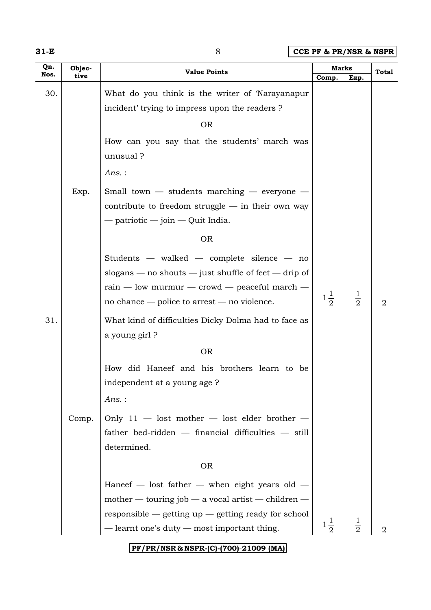| w<br>۰. |  |  |
|---------|--|--|
|---------|--|--|

**31-E** 8 **CCE PF & PR/NSR & NSPR**

| Qn.  | Objec- | <b>Value Points</b>                                                                                                                                                                                                 |                | <b>Marks</b>  |                |  |
|------|--------|---------------------------------------------------------------------------------------------------------------------------------------------------------------------------------------------------------------------|----------------|---------------|----------------|--|
| Nos. | tive   |                                                                                                                                                                                                                     | Comp.          | Exp.          | Total          |  |
| 30.  |        | What do you think is the writer of Narayanapur                                                                                                                                                                      |                |               |                |  |
|      |        | incident' trying to impress upon the readers?                                                                                                                                                                       |                |               |                |  |
|      |        | <b>OR</b>                                                                                                                                                                                                           |                |               |                |  |
|      |        | How can you say that the students' march was<br>unusual ?                                                                                                                                                           |                |               |                |  |
|      |        | $Ans.$ :                                                                                                                                                                                                            |                |               |                |  |
|      | Exp.   | Small town $-$ students marching $-$ everyone $-$<br>contribute to freedom struggle $-$ in their own way<br>$-$ patriotic $-$ join $-$ Quit India.                                                                  |                |               |                |  |
|      |        | <b>OR</b>                                                                                                                                                                                                           |                |               |                |  |
|      |        | Students — walked — complete silence — no<br>slogans $-$ no shouts $-$ just shuffle of feet $-$ drip of<br>$rain$ — low murmur — crowd — peaceful march —<br>no chance $-$ police to arrest $-$ no violence.        | $1\frac{1}{2}$ | $\frac{1}{2}$ | $\overline{2}$ |  |
| 31.  |        | What kind of difficulties Dicky Dolma had to face as<br>a young girl?                                                                                                                                               |                |               |                |  |
|      |        | <b>OR</b>                                                                                                                                                                                                           |                |               |                |  |
|      |        | How did Haneef and his brothers learn to be<br>independent at a young age ?<br>Ans.:                                                                                                                                |                |               |                |  |
|      | Comp.  | Only $11$ - lost mother - lost elder brother -<br>father bed-ridden - financial difficulties - still<br>determined.                                                                                                 |                |               |                |  |
|      |        | <b>OR</b>                                                                                                                                                                                                           |                |               |                |  |
|      |        | Haneef $-$ lost father $-$ when eight years old $-$<br>mother — touring job — a vocal artist — children —<br>responsible $-$ getting up $-$ getting ready for school<br>- learnt one's duty - most important thing. | $1\frac{1}{2}$ |               | 2              |  |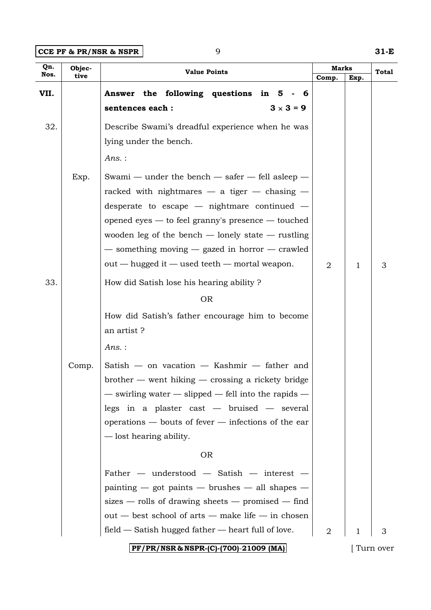**CCE PF & PR/NSR & NSPR** 9 **31-E** 

| Qn.<br>Objec-<br><b>Value Points</b> |               | <b>Marks</b>                                                                                                                                                                                                                                                                                                                                                                                                                                                                                                                                                                                                                                                                                                                                                                                                    |       | Total |                |
|--------------------------------------|---------------|-----------------------------------------------------------------------------------------------------------------------------------------------------------------------------------------------------------------------------------------------------------------------------------------------------------------------------------------------------------------------------------------------------------------------------------------------------------------------------------------------------------------------------------------------------------------------------------------------------------------------------------------------------------------------------------------------------------------------------------------------------------------------------------------------------------------|-------|-------|----------------|
| Nos.                                 | tive          |                                                                                                                                                                                                                                                                                                                                                                                                                                                                                                                                                                                                                                                                                                                                                                                                                 | Comp. | Exp.  |                |
| VII.                                 |               | Answer the following questions in 5 -<br>- 6<br>$3 \times 3 = 9$<br>sentences each :                                                                                                                                                                                                                                                                                                                                                                                                                                                                                                                                                                                                                                                                                                                            |       |       |                |
| 32.                                  |               | Describe Swami's dreadful experience when he was<br>lying under the bench.<br>Ans.:                                                                                                                                                                                                                                                                                                                                                                                                                                                                                                                                                                                                                                                                                                                             |       |       |                |
| 33.                                  | Exp.<br>Comp. | Swami — under the bench — safer — fell asleep —<br>racked with nightmares $-$ a tiger $-$ chasing $-$<br>desperate to escape $-$ nightmare continued $-$<br>opened eyes — to feel granny's presence — touched<br>wooden leg of the bench $-$ lonely state $-$ rustling<br>- something moving - gazed in horror - crawled<br>out — hugged it — used teeth — mortal weapon.<br>How did Satish lose his hearing ability?<br><b>OR</b><br>How did Satish's father encourage him to become<br>an artist?<br>$Ans.$ :<br>Satish — on vacation — Kashmir — father and<br>$b$ rother $-$ went hiking $-$ crossing a rickety bridge<br>$-$ swirling water $-$ slipped $-$ fell into the rapids $-$<br>legs in a plaster cast $-$ bruised $-$ several<br>$\alpha$ operations $-$ bouts of fever $-$ infections of the ear | 2     | 1     | 3              |
|                                      |               | - lost hearing ability.<br><b>OR</b>                                                                                                                                                                                                                                                                                                                                                                                                                                                                                                                                                                                                                                                                                                                                                                            |       |       |                |
|                                      |               | Father $-$ understood $-$ Satish $-$ interest $-$<br>$\text{painting}$ - got paints - brushes - all shapes -<br>sizes — rolls of drawing sheets — promised — find<br>out — best school of arts — make life — in chosen                                                                                                                                                                                                                                                                                                                                                                                                                                                                                                                                                                                          |       |       |                |
|                                      |               | $field$ $-$ Satish hugged father $-$ heart full of love.<br>PF/PR/NSR & NSPR-(C)-(700)-21009 (MA)                                                                                                                                                                                                                                                                                                                                                                                                                                                                                                                                                                                                                                                                                                               | 2     | 1     | З<br>Turn over |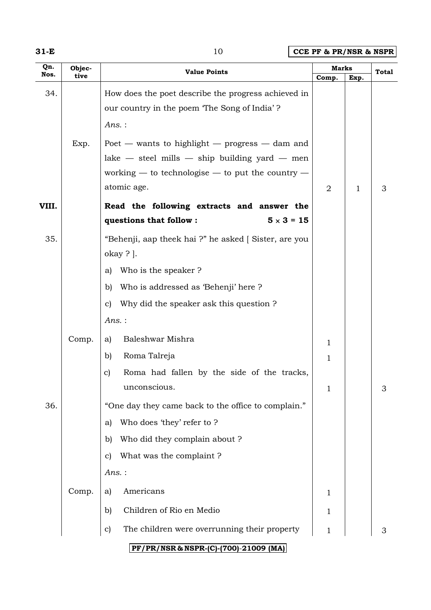| w |  |  |
|---|--|--|
|---|--|--|

**10 CCE PF & PR/NSR & NSPR** 

| Qn.   | Objec- | <b>Value Points</b>                                    |       | Marks        |       |
|-------|--------|--------------------------------------------------------|-------|--------------|-------|
| Nos.  | tive   |                                                        | Comp. | Exp.         | Total |
| 34.   |        | How does the poet describe the progress achieved in    |       |              |       |
|       |        | our country in the poem 'The Song of India'?           |       |              |       |
|       |        | $Ans.$ :                                               |       |              |       |
|       | Exp.   | Poet — wants to highlight — progress — dam and         |       |              |       |
|       |        | $lake$ - steel mills - ship building yard - men        |       |              |       |
|       |        | working $-$ to technologise $-$ to put the country $-$ |       |              |       |
|       |        | atomic age.                                            | 2     | $\mathbf{1}$ | 3     |
| VIII. |        | Read the following extracts and answer the             |       |              |       |
|       |        | questions that follow :<br>$5 \times 3 = 15$           |       |              |       |
| 35.   |        | "Behenji, aap theek hai ?" he asked [Sister, are you   |       |              |       |
|       |        | $okay ?$ .                                             |       |              |       |
|       |        | Who is the speaker?<br>a)                              |       |              |       |
|       |        | Who is addressed as 'Behenji' here?<br>b)              |       |              |       |
|       |        | Why did the speaker ask this question?<br>$\mathbf{C}$ |       |              |       |
|       |        | Ans.:                                                  |       |              |       |
|       | Comp.  | Baleshwar Mishra<br>a)                                 | 1     |              |       |
|       |        | Roma Talreja<br>b)                                     | 1     |              |       |
|       |        | Roma had fallen by the side of the tracks,<br>C)       |       |              |       |
|       |        | unconscious.                                           | 1     |              | 3     |
| 36.   |        | "One day they came back to the office to complain."    |       |              |       |
|       |        | Who does 'they' refer to ?<br>a)                       |       |              |       |
|       |        | Who did they complain about ?<br>$\mathbf{b}$          |       |              |       |
|       |        | What was the complaint?<br>$\mathbf{C}$                |       |              |       |
|       |        | Ans. :                                                 |       |              |       |
|       | Comp.  | Americans<br>a)                                        | 1     |              |       |
|       |        | Children of Rio en Medio<br>$\mathbf{b}$               | 1     |              |       |
|       |        | The children were overrunning their property<br>C)     | 1     |              | 3     |
|       |        | PF/PR/NSR & NSPR-(C)-(700)-21009 (MA)                  |       |              |       |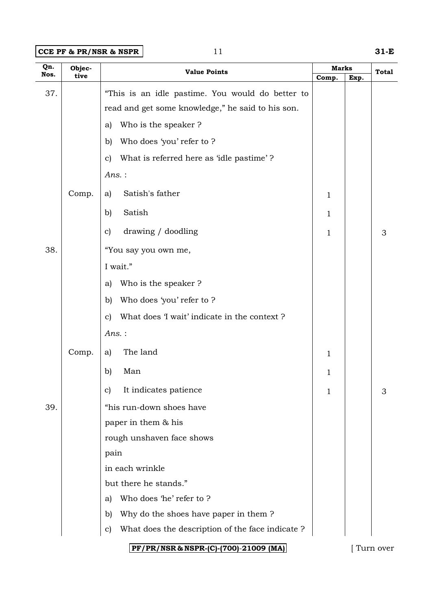**CCE PF & PR/NSR & NSPR** 11 **31-E** 

| Qn.<br>Nos. | Objec- | <b>Value Points</b>                                             | <b>Marks</b> |      | <b>Total</b> |
|-------------|--------|-----------------------------------------------------------------|--------------|------|--------------|
|             | tive   |                                                                 | Comp.        | Exp. |              |
| 37.         |        | "This is an idle pastime. You would do better to                |              |      |              |
|             |        | read and get some knowledge," he said to his son.               |              |      |              |
|             |        | Who is the speaker?<br>a)                                       |              |      |              |
|             |        | Who does 'you' refer to ?<br>b)                                 |              |      |              |
|             |        | What is referred here as 'idle pastime'?<br>$\mathbf{c}$        |              |      |              |
|             |        | $Ans.$ :                                                        |              |      |              |
|             | Comp.  | Satish's father<br>a)                                           | 1            |      |              |
|             |        | Satish<br>b)                                                    | 1            |      |              |
|             |        | drawing / doodling<br>$\mathbf{c}$                              | 1            |      | 3            |
| 38.         |        | "You say you own me,                                            |              |      |              |
|             |        | I wait."                                                        |              |      |              |
|             |        | Who is the speaker?<br>a)                                       |              |      |              |
|             |        | Who does 'you' refer to ?<br>$\mathbf{b}$                       |              |      |              |
|             |        | What does 'I wait' indicate in the context?<br>$\mathbf{c}$     |              |      |              |
|             |        | $Ans.$ :                                                        |              |      |              |
|             | Comp.  | The land<br>a)                                                  | 1            |      |              |
|             |        | b)<br>Man                                                       | 1            |      |              |
|             |        | It indicates patience<br>$\mathbf{c}$                           | 1            |      | 3            |
| 39.         |        | "his run-down shoes have                                        |              |      |              |
|             |        | paper in them & his                                             |              |      |              |
|             |        | rough unshaven face shows                                       |              |      |              |
|             |        | pain                                                            |              |      |              |
|             |        | in each wrinkle                                                 |              |      |              |
|             |        | but there he stands."                                           |              |      |              |
|             |        | Who does 'he' refer to ?<br>a)                                  |              |      |              |
|             |        | Why do the shoes have paper in them?<br>$\mathbf{b}$            |              |      |              |
|             |        | What does the description of the face indicate?<br>$\mathbf{c}$ |              |      |              |
|             |        | PF/PR/NSR & NSPR-(C)-(700)-21009 (MA)                           |              |      | [ Turn over  |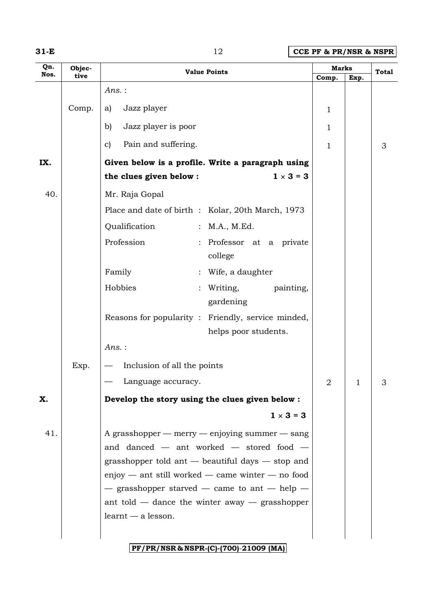| w |  |  |
|---|--|--|
|---|--|--|

**12 CCE PF & PR/NSR & NSPR** 

| Qn.<br>Nos. | Objec- | <b>Value Points</b>                                                                                                                                                                                                                                                                                                                                       | <b>Marks</b>   |      | <b>Total</b> |
|-------------|--------|-----------------------------------------------------------------------------------------------------------------------------------------------------------------------------------------------------------------------------------------------------------------------------------------------------------------------------------------------------------|----------------|------|--------------|
|             | tive   | $Ans.$ :                                                                                                                                                                                                                                                                                                                                                  | Comp.          | Exp. |              |
|             |        |                                                                                                                                                                                                                                                                                                                                                           |                |      |              |
|             | Comp.  | Jazz player<br>a)                                                                                                                                                                                                                                                                                                                                         | 1              |      |              |
|             |        | Jazz player is poor<br>b)                                                                                                                                                                                                                                                                                                                                 | 1              |      |              |
|             |        | Pain and suffering.<br>$\mathbf{c}$                                                                                                                                                                                                                                                                                                                       | $\mathbf 1$    |      | 3            |
| IX.         |        | Given below is a profile. Write a paragraph using                                                                                                                                                                                                                                                                                                         |                |      |              |
|             |        | $1 \times 3 = 3$<br>the clues given below :                                                                                                                                                                                                                                                                                                               |                |      |              |
| 40.         |        | Mr. Raja Gopal                                                                                                                                                                                                                                                                                                                                            |                |      |              |
|             |        | Place and date of birth : Kolar, 20th March, 1973                                                                                                                                                                                                                                                                                                         |                |      |              |
|             |        | Qualification<br>: M.A., M.Ed.                                                                                                                                                                                                                                                                                                                            |                |      |              |
|             |        | Profession<br>: Professor at a private<br>college                                                                                                                                                                                                                                                                                                         |                |      |              |
|             |        | Family<br>Wife, a daughter                                                                                                                                                                                                                                                                                                                                |                |      |              |
|             |        | Hobbies<br>Writing,<br>painting,<br>gardening                                                                                                                                                                                                                                                                                                             |                |      |              |
|             |        | Reasons for popularity : Friendly, service minded,<br>helps poor students.                                                                                                                                                                                                                                                                                |                |      |              |
|             |        | Ans.:                                                                                                                                                                                                                                                                                                                                                     |                |      |              |
|             | Exp.   | Inclusion of all the points                                                                                                                                                                                                                                                                                                                               |                |      |              |
|             |        | Language accuracy.                                                                                                                                                                                                                                                                                                                                        | $\overline{2}$ | 1    |              |
| X.          |        | Develop the story using the clues given below :                                                                                                                                                                                                                                                                                                           |                |      |              |
|             |        | $1 \times 3 = 3$                                                                                                                                                                                                                                                                                                                                          |                |      |              |
| 41.         |        | A grasshopper $-$ merry $-$ enjoying summer $-$ sang<br>and danced $-$ ant worked $-$ stored food $-$<br>grasshopper told ant $-$ beautiful days $-$ stop and<br>$enjoy$ — ant still worked — came winter — no food<br>$-$ grasshopper starved $-$ came to ant $-$ help $-$<br>ant told $-$ dance the winter away $-$ grasshopper<br>$learnt - a$ lesson. |                |      |              |
|             |        | PF/PR/NSR & NSPR-(C)-(700)-21009 (MA)                                                                                                                                                                                                                                                                                                                     |                |      |              |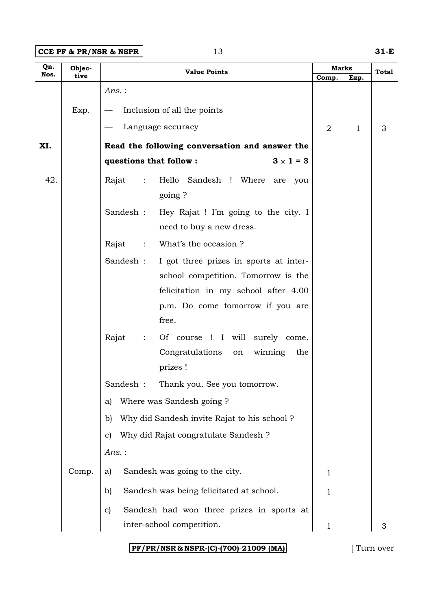**CCE PF & PR/NSR & NSPR** 13 **31-E** 

| Qn.<br>Nos. | Objec- | <b>Value Points</b>                                                           |                |      | <b>Total</b> |
|-------------|--------|-------------------------------------------------------------------------------|----------------|------|--------------|
|             | tive   |                                                                               | Comp.          | Exp. |              |
|             |        | Ans.:                                                                         |                |      |              |
|             | Exp.   | Inclusion of all the points                                                   |                |      |              |
|             |        | Language accuracy                                                             | $\overline{2}$ | 1    | 3            |
| XI.         |        | Read the following conversation and answer the                                |                |      |              |
|             |        | $3 \times 1 = 3$<br>questions that follow :                                   |                |      |              |
| 42.         |        | Hello Sandesh ! Where are you<br>Rajat<br>$\sim$ 1.<br>going?                 |                |      |              |
|             |        | Hey Rajat ! I'm going to the city. I<br>Sandesh :<br>need to buy a new dress. |                |      |              |
|             |        | What's the occasion?<br>Rajat<br>$\ddot{\cdot}$                               |                |      |              |
|             |        |                                                                               |                |      |              |
|             |        | Sandesh :<br>I got three prizes in sports at inter-                           |                |      |              |
|             |        | school competition. Tomorrow is the                                           |                |      |              |
|             |        | felicitation in my school after 4.00                                          |                |      |              |
|             |        | p.m. Do come tomorrow if you are<br>free.                                     |                |      |              |
|             |        | Rajat<br>Of course ! I will surely come.<br>$\ddot{\cdot}$                    |                |      |              |
|             |        | Congratulations on<br>winning<br>the                                          |                |      |              |
|             |        | prizes !                                                                      |                |      |              |
|             |        | Sandesh: Thank you. See you tomorrow.                                         |                |      |              |
|             |        | Where was Sandesh going?<br>a)                                                |                |      |              |
|             |        | Why did Sandesh invite Rajat to his school?<br>b)                             |                |      |              |
|             |        | Why did Rajat congratulate Sandesh ?<br>C)                                    |                |      |              |
|             |        | Ans.:                                                                         |                |      |              |
|             | Comp.  | Sandesh was going to the city.<br>a)                                          | 1              |      |              |
|             |        | Sandesh was being felicitated at school.<br>b)                                | 1              |      |              |
|             |        | Sandesh had won three prizes in sports at<br>C)                               |                |      |              |
|             |        | inter-school competition.                                                     | 1              |      | 3            |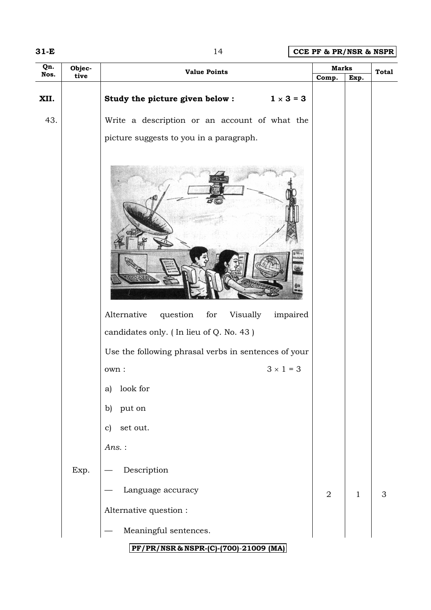**31-E** 14 **CCE PF & PR/NSR & NSPR**

| Qn.  | Objec-<br><b>Marks</b><br><b>Value Points</b> |                                                                                                                                                                                                                       |            |              | <b>Total</b> |  |  |  |  |
|------|-----------------------------------------------|-----------------------------------------------------------------------------------------------------------------------------------------------------------------------------------------------------------------------|------------|--------------|--------------|--|--|--|--|
| Nos. | tive                                          |                                                                                                                                                                                                                       | Comp.      | Exp.         |              |  |  |  |  |
| XII. |                                               | Study the picture given below : $1 \times 3 = 3$                                                                                                                                                                      |            |              |              |  |  |  |  |
| 43.  |                                               | Write a description or an account of what the                                                                                                                                                                         |            |              |              |  |  |  |  |
|      |                                               | picture suggests to you in a paragraph.                                                                                                                                                                               |            |              |              |  |  |  |  |
|      |                                               | Alternative<br>question<br>for<br>Visually impaired<br>candidates only. (In lieu of Q. No. 43)<br>Use the following phrasal verbs in sentences of your<br>$3 \times 1 = 3$<br>own :<br>look for<br>a)<br>put on<br>b) |            |              |              |  |  |  |  |
|      |                                               | set out.<br>$\mathbf{c})$                                                                                                                                                                                             |            |              |              |  |  |  |  |
|      |                                               | Ans.:                                                                                                                                                                                                                 |            |              |              |  |  |  |  |
|      | Exp.                                          | Description                                                                                                                                                                                                           |            |              |              |  |  |  |  |
|      |                                               | Language accuracy                                                                                                                                                                                                     | $\sqrt{2}$ | $\mathbf{1}$ | 3            |  |  |  |  |
|      |                                               | Alternative question :                                                                                                                                                                                                |            |              |              |  |  |  |  |
|      |                                               | Meaningful sentences.                                                                                                                                                                                                 |            |              |              |  |  |  |  |
|      | PF/PR/NSR & NSPR-(C)-(700)-21009 (MA)         |                                                                                                                                                                                                                       |            |              |              |  |  |  |  |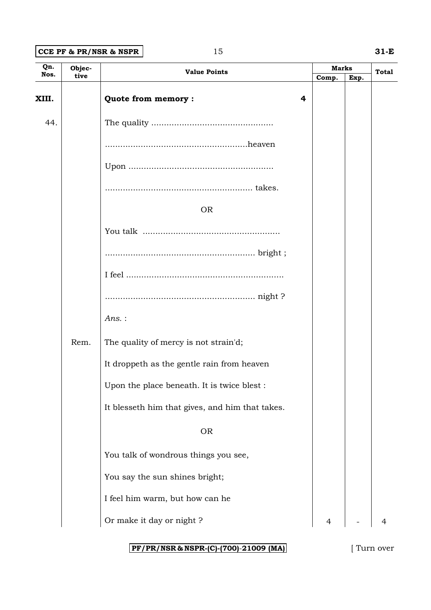### **CCE PF & PR/NSR & NSPR** 15 **31-E**

| Qn.          | Objec- |                                                 |   | <b>Marks</b> |      |              |
|--------------|--------|-------------------------------------------------|---|--------------|------|--------------|
| Nos.<br>tive |        | <b>Value Points</b>                             |   | Comp.        | Exp. | <b>Total</b> |
| XIII.        |        | Quote from memory:                              | 4 |              |      |              |
| 44.          |        |                                                 |   |              |      |              |
|              |        |                                                 |   |              |      |              |
|              |        |                                                 |   |              |      |              |
|              |        |                                                 |   |              |      |              |
|              |        | <b>OR</b>                                       |   |              |      |              |
|              |        |                                                 |   |              |      |              |
|              |        |                                                 |   |              |      |              |
|              |        |                                                 |   |              |      |              |
|              |        |                                                 |   |              |      |              |
|              |        | $Ans.$ :                                        |   |              |      |              |
|              | Rem.   | The quality of mercy is not strain'd;           |   |              |      |              |
|              |        | It droppeth as the gentle rain from heaven      |   |              |      |              |
|              |        | Upon the place beneath. It is twice blest :     |   |              |      |              |
|              |        | It blesseth him that gives, and him that takes. |   |              |      |              |
|              |        | <b>OR</b>                                       |   |              |      |              |
|              |        | You talk of wondrous things you see,            |   |              |      |              |
|              |        | You say the sun shines bright;                  |   |              |      |              |
|              |        | I feel him warm, but how can he                 |   |              |      |              |
|              |        | Or make it day or night ?                       |   |              |      |              |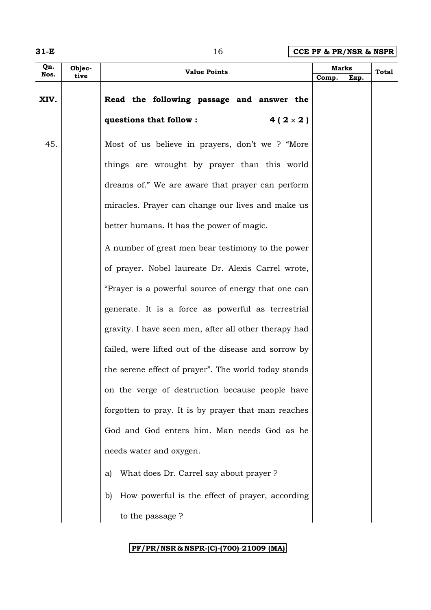**31-E** 16 **CCE PF & PR/NSR & NSPR**

| Qn.  | Objec- | <b>Value Points</b>                                   |       | <b>Marks</b> |       |
|------|--------|-------------------------------------------------------|-------|--------------|-------|
| Nos. | tive   |                                                       | Comp. | Exp.         | Total |
| XIV. |        | Read the following passage and answer the             |       |              |       |
|      |        | questions that follow :<br>$4(2 \times 2)$            |       |              |       |
| 45.  |        | Most of us believe in prayers, don't we ? "More       |       |              |       |
|      |        | things are wrought by prayer than this world          |       |              |       |
|      |        | dreams of." We are aware that prayer can perform      |       |              |       |
|      |        | miracles. Prayer can change our lives and make us     |       |              |       |
|      |        | better humans. It has the power of magic.             |       |              |       |
|      |        | A number of great men bear testimony to the power     |       |              |       |
|      |        | of prayer. Nobel laureate Dr. Alexis Carrel wrote,    |       |              |       |
|      |        | "Prayer is a powerful source of energy that one can   |       |              |       |
|      |        | generate. It is a force as powerful as terrestrial    |       |              |       |
|      |        | gravity. I have seen men, after all other therapy had |       |              |       |
|      |        | failed, were lifted out of the disease and sorrow by  |       |              |       |
|      |        | the serene effect of prayer". The world today stands  |       |              |       |
|      |        | on the verge of destruction because people have       |       |              |       |
|      |        | forgotten to pray. It is by prayer that man reaches   |       |              |       |
|      |        | God and God enters him. Man needs God as he           |       |              |       |
|      |        | needs water and oxygen.                               |       |              |       |
|      |        | What does Dr. Carrel say about prayer?<br>a)          |       |              |       |
|      |        | How powerful is the effect of prayer, according<br>b) |       |              |       |
|      |        | to the passage ?                                      |       |              |       |
|      |        |                                                       |       |              |       |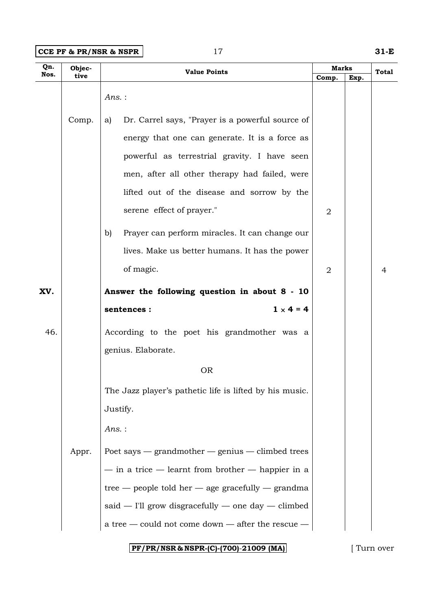**CCE PF & PR/NSR & NSPR** 17 **31-E** 

| <b>Value Points</b><br>Nos.<br>tive<br>Comp.<br>Ans.:<br>Dr. Carrel says, "Prayer is a powerful source of<br>Comp.<br>a) | Exp. | Total |
|--------------------------------------------------------------------------------------------------------------------------|------|-------|
|                                                                                                                          |      |       |
|                                                                                                                          |      |       |
|                                                                                                                          |      |       |
| energy that one can generate. It is a force as                                                                           |      |       |
| powerful as terrestrial gravity. I have seen                                                                             |      |       |
| men, after all other therapy had failed, were                                                                            |      |       |
| lifted out of the disease and sorrow by the                                                                              |      |       |
| serene effect of prayer."<br>$\overline{2}$                                                                              |      |       |
| Prayer can perform miracles. It can change our<br>b)                                                                     |      |       |
| lives. Make us better humans. It has the power                                                                           |      |       |
| of magic.<br>$\overline{2}$                                                                                              |      | 4     |
| Answer the following question in about 8 - 10<br>XV.                                                                     |      |       |
| $1 \times 4 = 4$<br>sentences :                                                                                          |      |       |
| 46.<br>According to the poet his grandmother was a                                                                       |      |       |
| genius. Elaborate.                                                                                                       |      |       |
| <b>OR</b>                                                                                                                |      |       |
| The Jazz player's pathetic life is lifted by his music.                                                                  |      |       |
| Justify.                                                                                                                 |      |       |
| $Ans.$ :                                                                                                                 |      |       |
| Poet says $-$ grandmother $-$ genius $-$ climbed trees<br>Appr.                                                          |      |       |
| $-$ in a trice $-$ learnt from brother $-$ happier in a                                                                  |      |       |
| tree — people told her — age gracefully — grandma                                                                        |      |       |
| $said$ - I'll grow disgracefully - one day - climbed                                                                     |      |       |
| a tree — could not come down — after the rescue —                                                                        |      |       |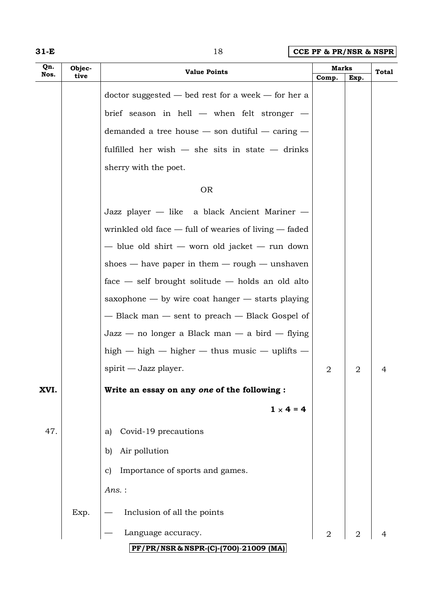| w |  |  |
|---|--|--|
|---|--|--|

# **18 CCE PF & PR/NSR & NSPR**

| Qn.  | Objec- | <b>Value Points</b>                                       | Marks          |                | <b>Total</b> |
|------|--------|-----------------------------------------------------------|----------------|----------------|--------------|
| Nos. | tive   |                                                           | Comp.          | Exp.           |              |
|      |        | $doctor$ suggested $-$ bed rest for a week $-$ for her a  |                |                |              |
|      |        | brief season in hell $-$ when felt stronger $-$           |                |                |              |
|      |        | demanded a tree house $-$ son dutiful $-$ caring $-$      |                |                |              |
|      |        | fulfilled her wish $-$ she sits in state $-$ drinks       |                |                |              |
|      |        | sherry with the poet.                                     |                |                |              |
|      |        | <b>OR</b>                                                 |                |                |              |
|      |        | Jazz player — like a black Ancient Mariner —              |                |                |              |
|      |        | wrinkled old face $-$ full of wearies of living $-$ faded |                |                |              |
|      |        | - blue old shirt - worn old jacket - run down             |                |                |              |
|      |        | shoes $-$ have paper in them $-$ rough $-$ unshaven       |                |                |              |
|      |        | $face$ - self brought solitude - holds an old alto        |                |                |              |
|      |        | saxophone $-$ by wire coat hanger $-$ starts playing      |                |                |              |
|      |        | - Black man - sent to preach - Black Gospel of            |                |                |              |
|      |        | $\text{Jazz}$ — no longer a Black man — a bird — flying   |                |                |              |
|      |        | high $-$ high $-$ higher $-$ thus music $-$ uplifts $-$   |                |                |              |
|      |        | spirit — Jazz player.                                     | $\overline{2}$ | $\overline{2}$ | 4            |
| XVI. |        | Write an essay on any one of the following :              |                |                |              |
|      |        | $1 \times 4 = 4$                                          |                |                |              |
| 47.  |        | Covid-19 precautions<br>a)                                |                |                |              |
|      |        | Air pollution<br>b)                                       |                |                |              |
|      |        | Importance of sports and games.<br>C)                     |                |                |              |
|      |        | $Ans.$ :                                                  |                |                |              |
|      | Exp.   | Inclusion of all the points                               |                |                |              |
|      |        | Language accuracy.                                        | $\overline{2}$ | $\overline{2}$ |              |
|      |        | PF/PR/NSR & NSPR-(C)-(700)-21009 (MA)                     |                |                |              |